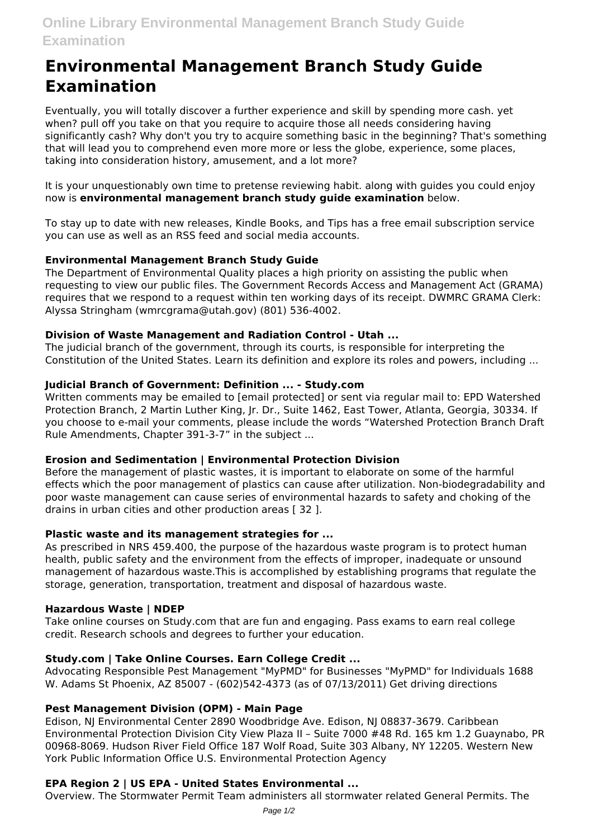# **Environmental Management Branch Study Guide Examination**

Eventually, you will totally discover a further experience and skill by spending more cash. yet when? pull off you take on that you require to acquire those all needs considering having significantly cash? Why don't you try to acquire something basic in the beginning? That's something that will lead you to comprehend even more more or less the globe, experience, some places, taking into consideration history, amusement, and a lot more?

It is your unquestionably own time to pretense reviewing habit. along with guides you could enjoy now is **environmental management branch study guide examination** below.

To stay up to date with new releases, Kindle Books, and Tips has a free email subscription service you can use as well as an RSS feed and social media accounts.

# **Environmental Management Branch Study Guide**

The Department of Environmental Quality places a high priority on assisting the public when requesting to view our public files. The Government Records Access and Management Act (GRAMA) requires that we respond to a request within ten working days of its receipt. DWMRC GRAMA Clerk: Alyssa Stringham (wmrcgrama@utah.gov) (801) 536-4002.

## **Division of Waste Management and Radiation Control - Utah ...**

The judicial branch of the government, through its courts, is responsible for interpreting the Constitution of the United States. Learn its definition and explore its roles and powers, including ...

## **Judicial Branch of Government: Definition ... - Study.com**

Written comments may be emailed to [email protected] or sent via regular mail to: EPD Watershed Protection Branch, 2 Martin Luther King, Jr. Dr., Suite 1462, East Tower, Atlanta, Georgia, 30334. If you choose to e-mail your comments, please include the words "Watershed Protection Branch Draft Rule Amendments, Chapter 391-3-7" in the subject ...

#### **Erosion and Sedimentation | Environmental Protection Division**

Before the management of plastic wastes, it is important to elaborate on some of the harmful effects which the poor management of plastics can cause after utilization. Non-biodegradability and poor waste management can cause series of environmental hazards to safety and choking of the drains in urban cities and other production areas [ 32 ].

## **Plastic waste and its management strategies for ...**

As prescribed in NRS 459.400, the purpose of the hazardous waste program is to protect human health, public safety and the environment from the effects of improper, inadequate or unsound management of hazardous waste.This is accomplished by establishing programs that regulate the storage, generation, transportation, treatment and disposal of hazardous waste.

#### **Hazardous Waste | NDEP**

Take online courses on Study.com that are fun and engaging. Pass exams to earn real college credit. Research schools and degrees to further your education.

## **Study.com | Take Online Courses. Earn College Credit ...**

Advocating Responsible Pest Management "MyPMD" for Businesses "MyPMD" for Individuals 1688 W. Adams St Phoenix, AZ 85007 - (602)542-4373 (as of 07/13/2011) Get driving directions

#### **Pest Management Division (OPM) - Main Page**

Edison, NJ Environmental Center 2890 Woodbridge Ave. Edison, NJ 08837-3679. Caribbean Environmental Protection Division City View Plaza II – Suite 7000 #48 Rd. 165 km 1.2 Guaynabo, PR 00968-8069. Hudson River Field Office 187 Wolf Road, Suite 303 Albany, NY 12205. Western New York Public Information Office U.S. Environmental Protection Agency

### **EPA Region 2 | US EPA - United States Environmental ...**

Overview. The Stormwater Permit Team administers all stormwater related General Permits. The